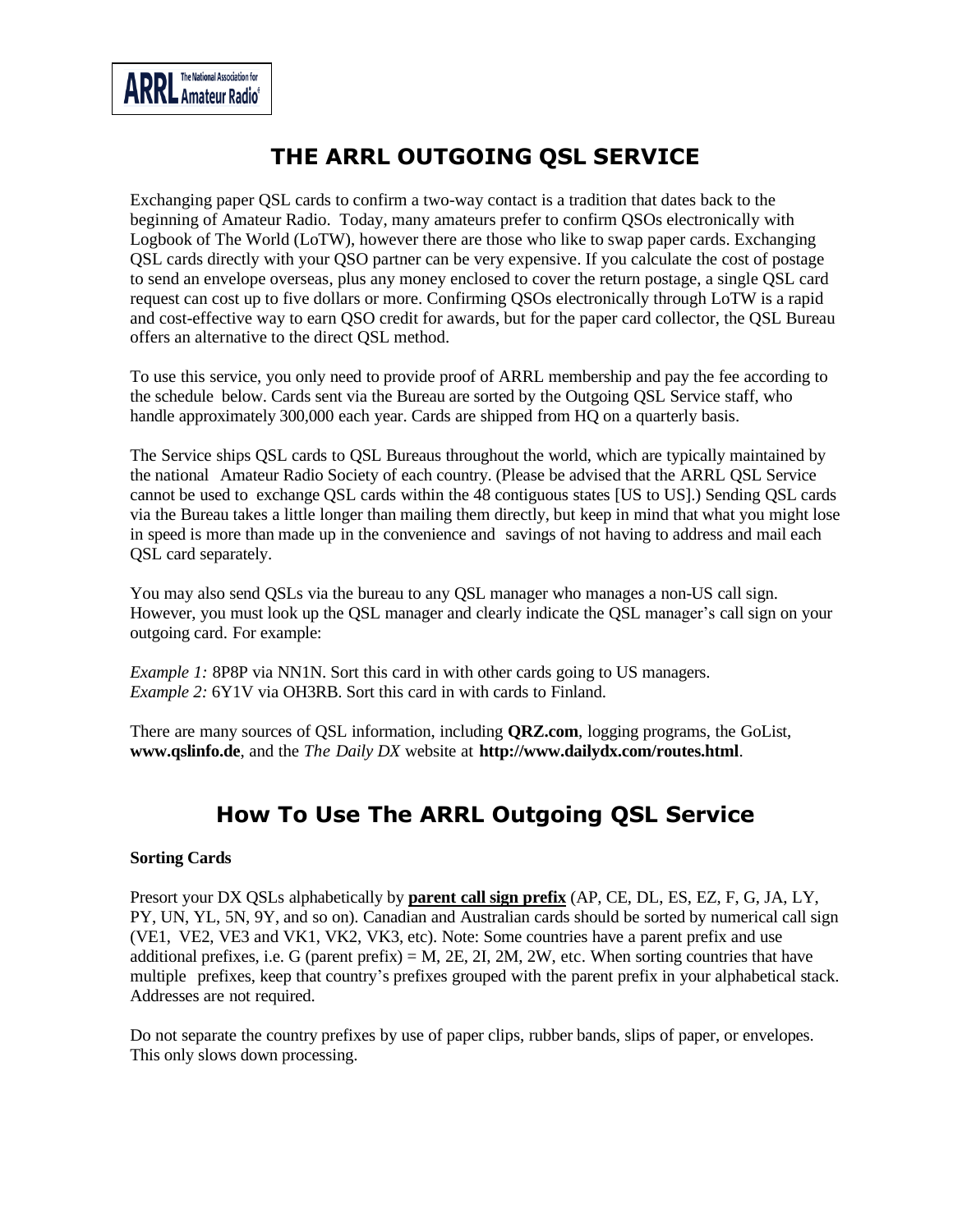## **THE ARRL OUTGOING QSL SERVICE**

Exchanging paper QSL cards to confirm a two-way contact is a tradition that dates back to the beginning of Amateur Radio. Today, many amateurs prefer to confirm QSOs electronically with Logbook of The World (LoTW), however there are those who like to swap paper cards. Exchanging QSL cards directly with your QSO partner can be very expensive. If you calculate the cost of postage to send an envelope overseas, plus any money enclosed to cover the return postage, a single QSL card request can cost up to five dollars or more. Confirming QSOs electronically through LoTW is a rapid and cost-effective way to earn QSO credit for awards, but for the paper card collector, the QSL Bureau offers an alternative to the direct QSL method.

To use this service, you only need to provide proof of ARRL membership and pay the fee according to the schedule below. Cards sent via the Bureau are sorted by the Outgoing QSL Service staff, who handle approximately 300,000 each year. Cards are shipped from HQ on a quarterly basis.

The Service ships QSL cards to QSL Bureaus throughout the world, which are typically maintained by the national Amateur Radio Society of each country. (Please be advised that the ARRL QSL Service cannot be used to exchange QSL cards within the 48 contiguous states [US to US].) Sending QSL cards via the Bureau takes a little longer than mailing them directly, but keep in mind that what you might lose in speed is more than made up in the convenience and savings of not having to address and mail each QSL card separately.

You may also send QSLs via the bureau to any QSL manager who manages a non-US call sign. However, you must look up the QSL manager and clearly indicate the QSL manager's call sign on your outgoing card. For example:

*Example 1:* 8P8P via NN1N. Sort this card in with other cards going to US managers. *Example 2:* 6Y1V via OH3RB. Sort this card in with cards to Finland.

There are many sources of QSL information, including **QRZ.com**, logging programs, the GoList[,](http://www.qslinfo.de/) **[www.qslinfo.de](http://www.qslinfo.de/)**, and the *The Daily DX* website at **<http://www.dailydx.com/routes.html>**.

# **How To Use The ARRL Outgoing QSL Service**

## **Sorting Cards**

Presort your DX QSLs alphabetically by **parent call sign prefix** (AP, CE, DL, ES, EZ, F, G, JA, LY, PY, UN, YL, 5N, 9Y, and so on). Canadian and Australian cards should be sorted by numerical call sign (VE1, VE2, VE3 and VK1, VK2, VK3, etc). Note: Some countries have a parent prefix and use additional prefixes, i.e. G (parent prefix) =  $M$ , 2E, 2I, 2M, 2W, etc. When sorting countries that have multiple prefixes, keep that country's prefixes grouped with the parent prefix in your alphabetical stack. Addresses are not required.

Do not separate the country prefixes by use of paper clips, rubber bands, slips of paper, or envelopes. This only slows down processing.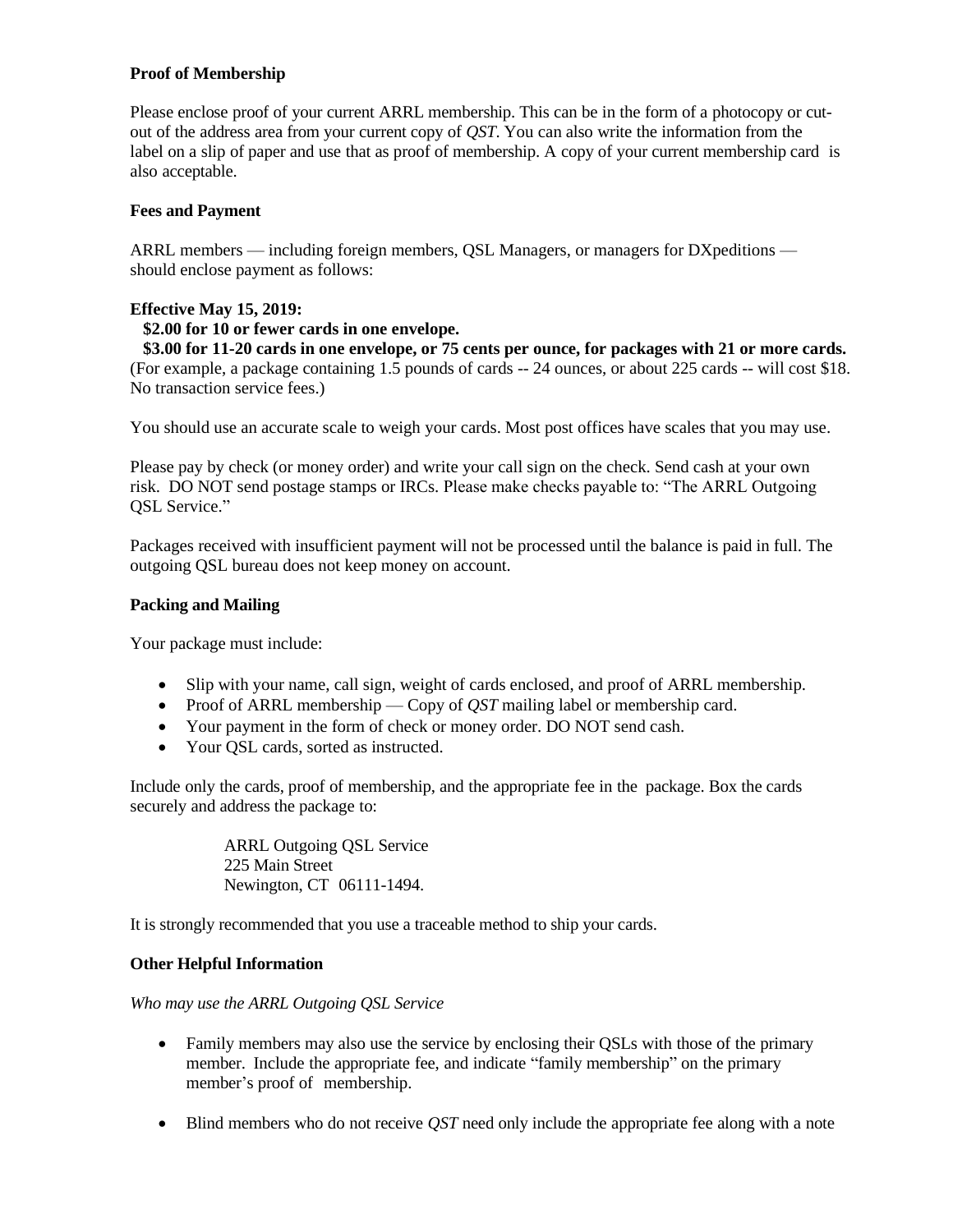## **Proof of Membership**

Please enclose proof of your current ARRL membership. This can be in the form of a photocopy or cutout of the address area from your current copy of *QST*. You can also write the information from the label on a slip of paper and use that as proof of membership. A copy of your current membership card is also acceptable.

#### **Fees and Payment**

ARRL members — including foreign members, QSL Managers, or managers for DXpeditions should enclose payment as follows:

## **Effective May 15, 2019:**

## **\$2.00 for 10 or fewer cards in one envelope.**

 **\$3.00 for 11-20 cards in one envelope, or 75 cents per ounce, for packages with 21 or more cards.**  (For example, a package containing 1.5 pounds of cards -- 24 ounces, or about 225 cards -- will cost \$18. No transaction service fees.)

You should use an accurate scale to weigh your cards. Most post offices have scales that you may use.

Please pay by check (or money order) and write your call sign on the check. Send cash at your own risk. DO NOT send postage stamps or IRCs. Please make checks payable to: "The ARRL Outgoing QSL Service."

Packages received with insufficient payment will not be processed until the balance is paid in full. The outgoing QSL bureau does not keep money on account.

#### **Packing and Mailing**

Your package must include:

- Slip with your name, call sign, weight of cards enclosed, and proof of ARRL membership.
- Proof of ARRL membership Copy of *QST* mailing label or membership card.
- Your payment in the form of check or money order. DO NOT send cash.
- Your OSL cards, sorted as instructed.

Include only the cards, proof of membership, and the appropriate fee in the package. Box the cards securely and address the package to:

> ARRL Outgoing QSL Service 225 Main Street Newington, CT 06111-1494.

It is strongly recommended that you use a traceable method to ship your cards.

#### **Other Helpful Information**

*Who may use the ARRL Outgoing QSL Service*

- Family members may also use the service by enclosing their QSLs with those of the primary member. Include the appropriate fee, and indicate "family membership" on the primary member's proof of membership.
- Blind members who do not receive *OST* need only include the appropriate fee along with a note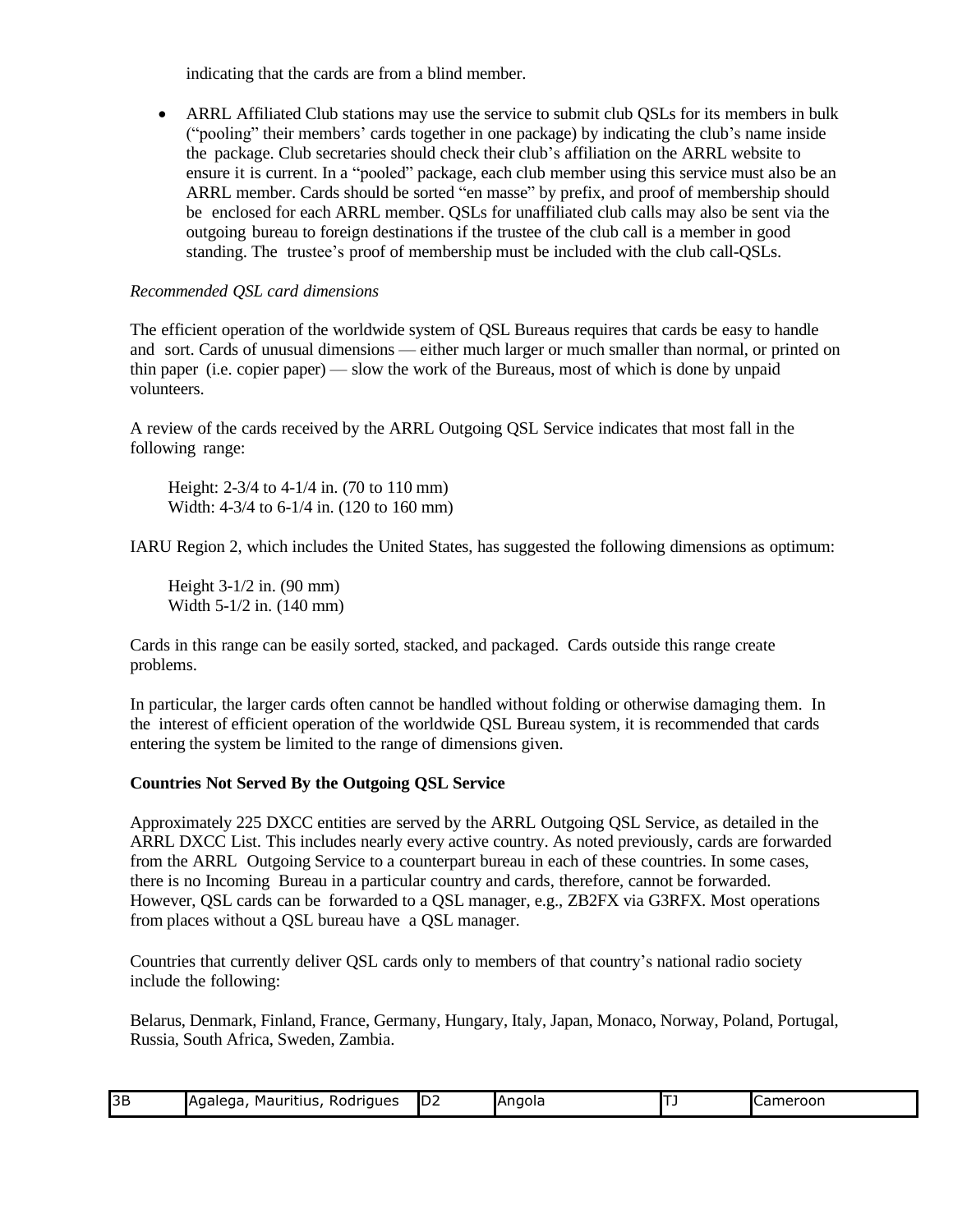indicating that the cards are from a blind member.

• ARRL Affiliated Club stations may use the service to submit club OSLs for its members in bulk ("pooling" their members' cards together in one package) by indicating the club's name inside the package. Club secretaries should check their club's affiliation on the ARRL website to ensure it is current. In a "pooled" package, each club member using this service must also be an ARRL member. Cards should be sorted "en masse" by prefix, and proof of membership should be enclosed for each ARRL member. QSLs for unaffiliated club calls may also be sent via the outgoing bureau to foreign destinations if the trustee of the club call is a member in good standing. The trustee's proof of membership must be included with the club call-QSLs.

## *Recommended QSL card dimensions*

The efficient operation of the worldwide system of QSL Bureaus requires that cards be easy to handle and sort. Cards of unusual dimensions — either much larger or much smaller than normal, or printed on thin paper (i.e. copier paper) — slow the work of the Bureaus, most of which is done by unpaid volunteers.

A review of the cards received by the ARRL Outgoing QSL Service indicates that most fall in the following range:

Height: 2-3/4 to 4-1/4 in. (70 to 110 mm) Width: 4-3/4 to 6-1/4 in. (120 to 160 mm)

IARU Region 2, which includes the United States, has suggested the following dimensions as optimum:

Height 3-1/2 in. (90 mm) Width 5-1/2 in. (140 mm)

Cards in this range can be easily sorted, stacked, and packaged. Cards outside this range create problems.

In particular, the larger cards often cannot be handled without folding or otherwise damaging them. In the interest of efficient operation of the worldwide QSL Bureau system, it is recommended that cards entering the system be limited to the range of dimensions given.

#### **Countries Not Served By the Outgoing QSL Service**

Approximately 225 DXCC entities are served by the ARRL Outgoing QSL Service, as detailed in the ARRL [DXCC](http://www.arrl.org/country-lists-prefixes) List. This includes nearly every active country. As noted previously, cards are forwarded from the ARRL Outgoing Service to a counterpart bureau in each of these countries. In some cases, there is no Incoming Bureau in a particular country and cards, therefore, cannot be forwarded. However, QSL cards can be forwarded to a QSL manager, e.g., ZB2FX via G3RFX. Most operations from places without a QSL bureau have a QSL manager.

Countries that currently deliver QSL cards only to members of that country's national radio society include the following:

Belarus, Denmark, Finland, France, Germany, Hungary, Italy, Japan, Monaco, Norway, Poland, Portugal, Russia, South Africa, Sweden, Zambia.

| 3B | .<br>l'Agalega,<br>Rodrigues<br>Mauritius, | ID2 | Angola | <b>I</b> Cameroon |
|----|--------------------------------------------|-----|--------|-------------------|
|    |                                            |     |        | __                |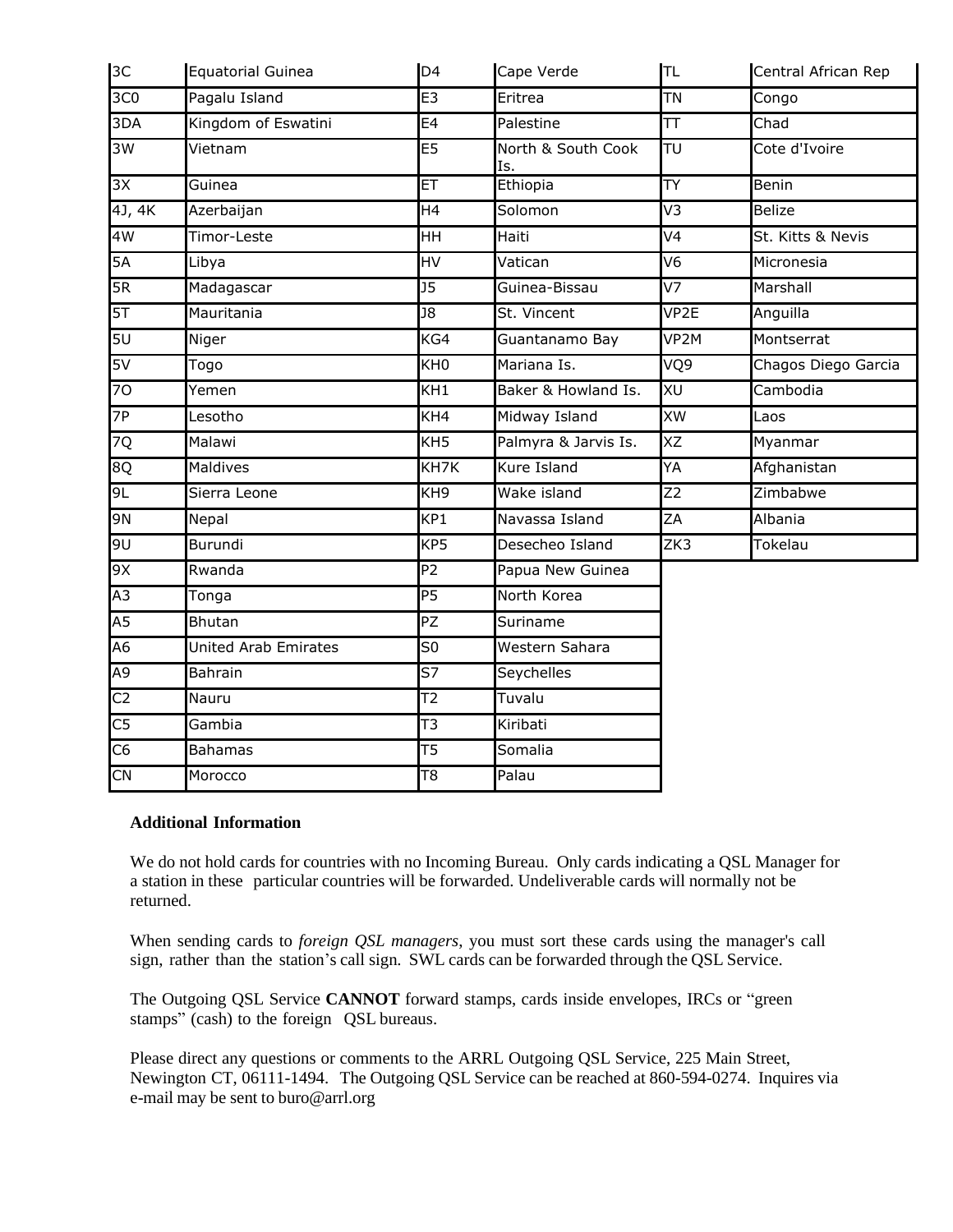| 3C              | Equatorial Guinea           | D <sub>4</sub>           | Cape Verde                | TL               | Central African Rep |
|-----------------|-----------------------------|--------------------------|---------------------------|------------------|---------------------|
| 3C <sub>0</sub> | Pagalu Island               | E3                       | Eritrea                   | <b>TN</b>        | Congo               |
| 3DA             | Kingdom of Eswatini         | E4                       | Palestine                 | TΤ               | Chad                |
| 3W              | Vietnam                     | E5                       | North & South Cook<br>Is. | TU               | Cote d'Ivoire       |
| 3X              | Guinea                      | ET.                      | Ethiopia                  | <b>TY</b>        | Benin               |
| 4J, 4K          | Azerbaijan                  | H4                       | Solomon                   | V3               | <b>Belize</b>       |
| 4W              | Timor-Leste                 | HH.                      | Haiti                     | V <sub>4</sub>   | St. Kitts & Nevis   |
| 5A              | Libya                       | HV                       | Vatican                   | V <sub>6</sub>   | Micronesia          |
| 5R              | Madagascar                  | $\overline{J5}$          | Guinea-Bissau             | V7               | Marshall            |
| 5T              | Mauritania                  | $\overline{18}$          | St. Vincent               | VP <sub>2E</sub> | Anguilla            |
| 5U              | Niger                       | KG4                      | Guantanamo Bay            | VP2M             | Montserrat          |
| 5V              | Togo                        | $\overline{KHO}$         | Mariana Is.               | VQ9              | Chagos Diego Garcia |
| 70              | Yemen                       | $\overline{KH1}$         | Baker & Howland Is.       | XU               | Cambodia            |
| 7P              | Lesotho                     | KH4                      | Midway Island             | XW               | Laos                |
| 7Q              | Malawi                      | KH <sub>5</sub>          | Palmyra & Jarvis Is.      | XZ               | Myanmar             |
| 8Q              | Maldives                    | KH7K                     | Kure Island               | YA               | Afghanistan         |
| 9L              | Sierra Leone                | KH <sub>9</sub>          | Wake island               | Z <sub>2</sub>   | Zimbabwe            |
| <b>9N</b>       | Nepal                       | $\overline{KP1}$         | Navassa Island            | ZA               | Albania             |
| <b>JG</b>       | Burundi                     | KP5                      | Desecheo Island           | ZK3              | Tokelau             |
| 9X              | Rwanda                      | $\overline{P2}$          | Papua New Guinea          |                  |                     |
| A3              | Tonga                       | P5                       | North Korea               |                  |                     |
| A <sub>5</sub>  | <b>Bhutan</b>               | PZ                       | Suriname                  |                  |                     |
| A6              | <b>United Arab Emirates</b> | S <sub>0</sub>           | Western Sahara            |                  |                     |
| A <sub>9</sub>  | Bahrain                     | $\overline{\mathsf{S}7}$ | Seychelles                |                  |                     |
| C2              | Nauru                       | T2                       | Tuvalu                    |                  |                     |
| $\overline{C5}$ | Gambia                      | $\overline{\text{T3}}$   | Kiribati                  |                  |                     |
| C <sub>6</sub>  | <b>Bahamas</b>              | T5                       | Somalia                   |                  |                     |
| C <sub>N</sub>  | Morocco                     | $\overline{18}$          | Palau                     |                  |                     |
|                 |                             |                          |                           |                  |                     |

#### **Additional Information**

We do not hold cards for countries with no Incoming Bureau. Only cards indicating a QSL Manager for a station in these particular countries will be forwarded. Undeliverable cards will normally not be returned.

When sending cards to *foreign QSL managers*, you must sort these cards using the manager's call sign, rather than the station's call sign. SWL cards can be forwarded through the QSL Service.

The Outgoing QSL Service **CANNOT** forward stamps, cards inside envelopes, IRCs or "green stamps" (cash) to the foreign QSL bureaus.

Please direct any questions or comments to the ARRL Outgoing QSL Service, 225 Main Street, Newington CT, 06111-1494. The Outgoing QSL Service can be reached at 860-594-0274. Inquires via e-mail may be sent to [buro@arrl.org](mailto:buro@arrl.org)